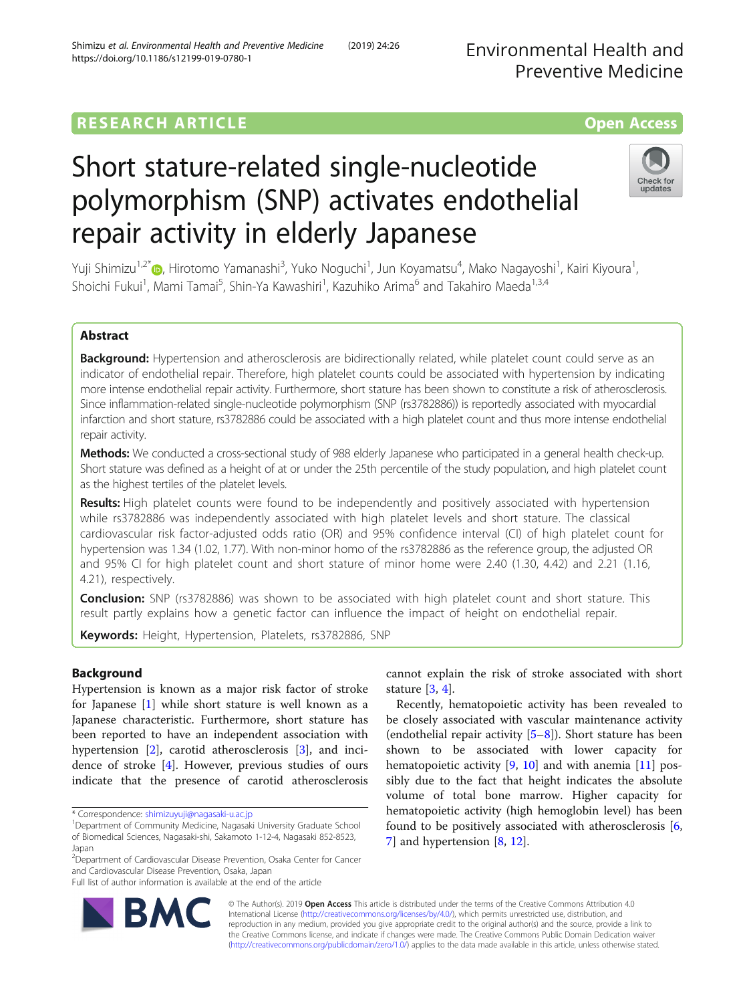# **RESEARCH ARTICLE Example 2014 12:30 The Contract of Contract ACCESS**

# Short stature-related single-nucleotide polymorphism (SNP) activates endothelial repair activity in elderly Japanese

Yuji Shimizu<sup>1,2[\\*](http://orcid.org/0000-0002-3381-9288)</sup>@, Hirotomo Yamanashi<sup>3</sup>, Yuko Noguchi<sup>1</sup>, Jun Koyamatsu<sup>4</sup>, Mako Nagayoshi<sup>1</sup>, Kairi Kiyoura<sup>1</sup> , Shoichi Fukui<sup>1</sup>, Mami Tamai<sup>5</sup>, Shin-Ya Kawashiri<sup>1</sup>, Kazuhiko Arima<sup>6</sup> and Takahiro Maeda<sup>1,3,4</sup>

# Abstract

Background: Hypertension and atherosclerosis are bidirectionally related, while platelet count could serve as an indicator of endothelial repair. Therefore, high platelet counts could be associated with hypertension by indicating more intense endothelial repair activity. Furthermore, short stature has been shown to constitute a risk of atherosclerosis. Since inflammation-related single-nucleotide polymorphism (SNP (rs3782886)) is reportedly associated with myocardial infarction and short stature, rs3782886 could be associated with a high platelet count and thus more intense endothelial repair activity.

Methods: We conducted a cross-sectional study of 988 elderly Japanese who participated in a general health check-up. Short stature was defined as a height of at or under the 25th percentile of the study population, and high platelet count as the highest tertiles of the platelet levels.

Results: High platelet counts were found to be independently and positively associated with hypertension while rs3782886 was independently associated with high platelet levels and short stature. The classical cardiovascular risk factor-adjusted odds ratio (OR) and 95% confidence interval (CI) of high platelet count for hypertension was 1.34 (1.02, 1.77). With non-minor homo of the rs3782886 as the reference group, the adjusted OR and 95% CI for high platelet count and short stature of minor home were 2.40 (1.30, 4.42) and 2.21 (1.16, 4.21), respectively.

**Conclusion:** SNP (rs3782886) was shown to be associated with high platelet count and short stature. This result partly explains how a genetic factor can influence the impact of height on endothelial repair.

Keywords: Height, Hypertension, Platelets, rs3782886, SNP

# Background

Hypertension is known as a major risk factor of stroke for Japanese [[1\]](#page-6-0) while short stature is well known as a Japanese characteristic. Furthermore, short stature has been reported to have an independent association with hypertension [\[2\]](#page-6-0), carotid atherosclerosis [\[3](#page-6-0)], and incidence of stroke [[4](#page-6-0)]. However, previous studies of ours indicate that the presence of carotid atherosclerosis

\* Correspondence: [shimizuyuji@nagasaki-u.ac.jp](mailto:shimizuyuji@nagasaki-u.ac.jp) <sup>1</sup>

© The Author(s). 2019 Open Access This article is distributed under the terms of the Creative Commons Attribution 4.0 International License [\(http://creativecommons.org/licenses/by/4.0/](http://creativecommons.org/licenses/by/4.0/)), which permits unrestricted use, distribution, and reproduction in any medium, provided you give appropriate credit to the original author(s) and the source, provide a link to the Creative Commons license, and indicate if changes were made. The Creative Commons Public Domain Dedication waiver [\(http://creativecommons.org/publicdomain/zero/1.0/](http://creativecommons.org/publicdomain/zero/1.0/)) applies to the data made available in this article, unless otherwise stated.

[7\]](#page-6-0) and hypertension [[8,](#page-6-0) [12](#page-6-0)].

stature [[3,](#page-6-0) [4\]](#page-6-0).

cannot explain the risk of stroke associated with short

Recently, hematopoietic activity has been revealed to be closely associated with vascular maintenance activity (endothelial repair activity [[5](#page-6-0)–[8](#page-6-0)]). Short stature has been shown to be associated with lower capacity for hematopoietic activity  $[9, 10]$  $[9, 10]$  $[9, 10]$  $[9, 10]$  $[9, 10]$  and with anemia  $[11]$  $[11]$  possibly due to the fact that height indicates the absolute volume of total bone marrow. Higher capacity for hematopoietic activity (high hemoglobin level) has been found to be positively associated with atherosclerosis [[6](#page-6-0),





<sup>&</sup>lt;sup>1</sup>Department of Community Medicine, Nagasaki University Graduate School of Biomedical Sciences, Nagasaki-shi, Sakamoto 1-12-4, Nagasaki 852-8523, Japan

<sup>&</sup>lt;sup>2</sup> Department of Cardiovascular Disease Prevention, Osaka Center for Cancer and Cardiovascular Disease Prevention, Osaka, Japan

Full list of author information is available at the end of the article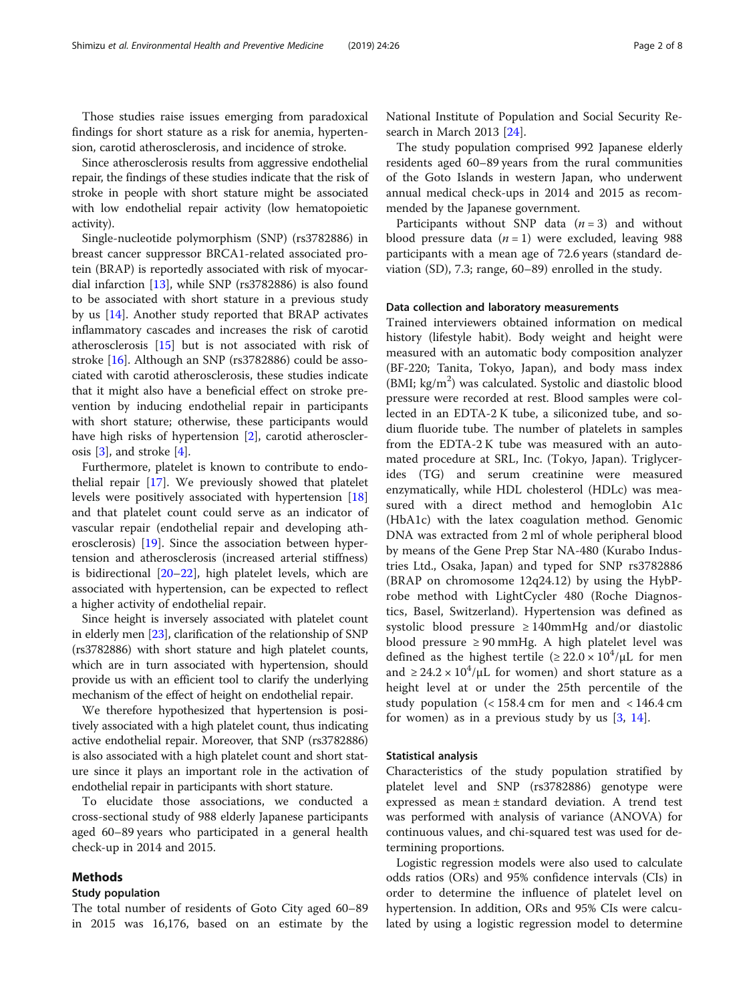Those studies raise issues emerging from paradoxical findings for short stature as a risk for anemia, hypertension, carotid atherosclerosis, and incidence of stroke.

Since atherosclerosis results from aggressive endothelial repair, the findings of these studies indicate that the risk of stroke in people with short stature might be associated with low endothelial repair activity (low hematopoietic activity).

Single-nucleotide polymorphism (SNP) (rs3782886) in breast cancer suppressor BRCA1-related associated protein (BRAP) is reportedly associated with risk of myocardial infarction [[13\]](#page-6-0), while SNP (rs3782886) is also found to be associated with short stature in a previous study by us [\[14\]](#page-6-0). Another study reported that BRAP activates inflammatory cascades and increases the risk of carotid atherosclerosis [\[15](#page-6-0)] but is not associated with risk of stroke [[16\]](#page-6-0). Although an SNP (rs3782886) could be associated with carotid atherosclerosis, these studies indicate that it might also have a beneficial effect on stroke prevention by inducing endothelial repair in participants with short stature; otherwise, these participants would have high risks of hypertension [[2\]](#page-6-0), carotid atherosclerosis [\[3\]](#page-6-0), and stroke [\[4](#page-6-0)].

Furthermore, platelet is known to contribute to endothelial repair [\[17](#page-6-0)]. We previously showed that platelet levels were positively associated with hypertension [[18](#page-7-0)] and that platelet count could serve as an indicator of vascular repair (endothelial repair and developing atherosclerosis) [[19](#page-7-0)]. Since the association between hypertension and atherosclerosis (increased arterial stiffness) is bidirectional [[20](#page-7-0)–[22](#page-7-0)], high platelet levels, which are associated with hypertension, can be expected to reflect a higher activity of endothelial repair.

Since height is inversely associated with platelet count in elderly men [[23](#page-7-0)], clarification of the relationship of SNP (rs3782886) with short stature and high platelet counts, which are in turn associated with hypertension, should provide us with an efficient tool to clarify the underlying mechanism of the effect of height on endothelial repair.

We therefore hypothesized that hypertension is positively associated with a high platelet count, thus indicating active endothelial repair. Moreover, that SNP (rs3782886) is also associated with a high platelet count and short stature since it plays an important role in the activation of endothelial repair in participants with short stature.

To elucidate those associations, we conducted a cross-sectional study of 988 elderly Japanese participants aged 60–89 years who participated in a general health check-up in 2014 and 2015.

## Methods

# Study population

The total number of residents of Goto City aged 60–89 in 2015 was 16,176, based on an estimate by the National Institute of Population and Social Security Research in March 2013 [\[24\]](#page-7-0).

The study population comprised 992 Japanese elderly residents aged 60–89 years from the rural communities of the Goto Islands in western Japan, who underwent annual medical check-ups in 2014 and 2015 as recommended by the Japanese government.

Participants without SNP data  $(n = 3)$  and without blood pressure data  $(n = 1)$  were excluded, leaving 988 participants with a mean age of 72.6 years (standard deviation (SD), 7.3; range, 60–89) enrolled in the study.

# Data collection and laboratory measurements

Trained interviewers obtained information on medical history (lifestyle habit). Body weight and height were measured with an automatic body composition analyzer (BF-220; Tanita, Tokyo, Japan), and body mass index (BMI; kg/m<sup>2</sup>) was calculated. Systolic and diastolic blood pressure were recorded at rest. Blood samples were collected in an EDTA-2 K tube, a siliconized tube, and sodium fluoride tube. The number of platelets in samples from the EDTA-2 K tube was measured with an automated procedure at SRL, Inc. (Tokyo, Japan). Triglycerides (TG) and serum creatinine were measured enzymatically, while HDL cholesterol (HDLc) was measured with a direct method and hemoglobin A1c (HbA1c) with the latex coagulation method. Genomic DNA was extracted from 2 ml of whole peripheral blood by means of the Gene Prep Star NA-480 (Kurabo Industries Ltd., Osaka, Japan) and typed for SNP rs3782886 (BRAP on chromosome 12q24.12) by using the HybProbe method with LightCycler 480 (Roche Diagnostics, Basel, Switzerland). Hypertension was defined as systolic blood pressure ≥ 140mmHg and/or diastolic blood pressure ≥ 90 mmHg. A high platelet level was defined as the highest tertile  $(≥ 22.0 × 10<sup>4</sup>/μL$  for men and  $\geq 24.2 \times 10^4/\mu L$  for women) and short stature as a height level at or under the 25th percentile of the study population  $\left($  < 158.4 cm for men and < 146.4 cm for women) as in a previous study by us [[3,](#page-6-0) [14\]](#page-6-0).

## Statistical analysis

Characteristics of the study population stratified by platelet level and SNP (rs3782886) genotype were expressed as mean ± standard deviation. A trend test was performed with analysis of variance (ANOVA) for continuous values, and chi-squared test was used for determining proportions.

Logistic regression models were also used to calculate odds ratios (ORs) and 95% confidence intervals (CIs) in order to determine the influence of platelet level on hypertension. In addition, ORs and 95% CIs were calculated by using a logistic regression model to determine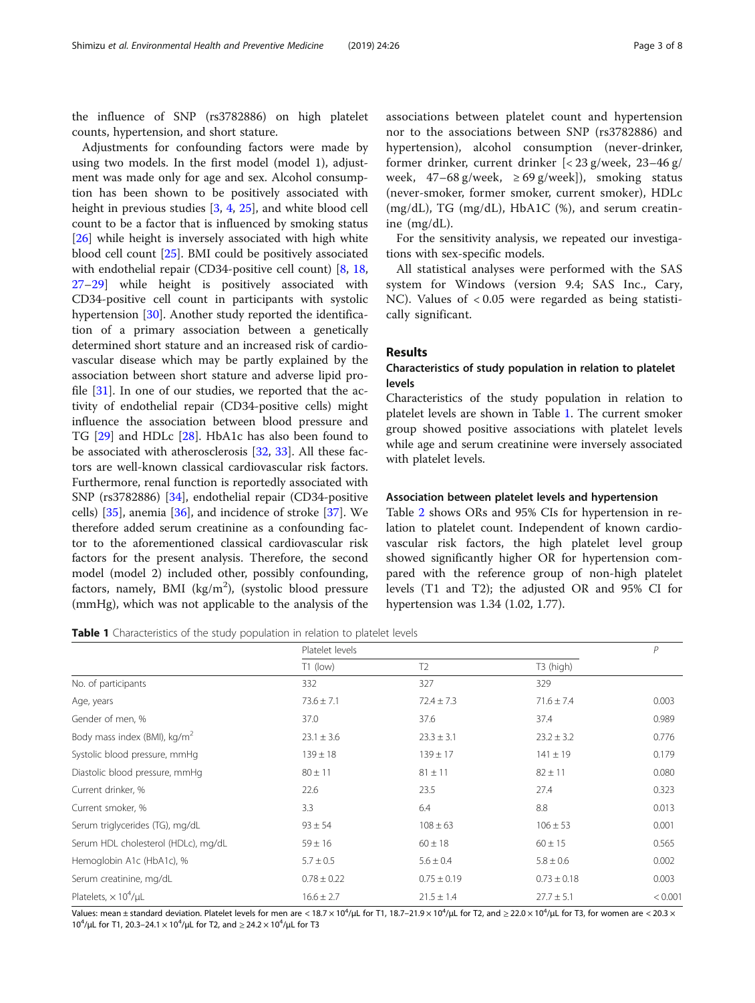the influence of SNP (rs3782886) on high platelet counts, hypertension, and short stature.

Adjustments for confounding factors were made by using two models. In the first model (model 1), adjustment was made only for age and sex. Alcohol consumption has been shown to be positively associated with height in previous studies [\[3](#page-6-0), [4,](#page-6-0) [25\]](#page-7-0), and white blood cell count to be a factor that is influenced by smoking status [[26\]](#page-7-0) while height is inversely associated with high white blood cell count [[25\]](#page-7-0). BMI could be positively associated with endothelial repair (CD34-positive cell count) [\[8](#page-6-0), [18](#page-7-0), [27](#page-7-0)–[29](#page-7-0)] while height is positively associated with CD34-positive cell count in participants with systolic hypertension [[30\]](#page-7-0). Another study reported the identification of a primary association between a genetically determined short stature and an increased risk of cardiovascular disease which may be partly explained by the association between short stature and adverse lipid profile [[31\]](#page-7-0). In one of our studies, we reported that the activity of endothelial repair (CD34-positive cells) might influence the association between blood pressure and TG [\[29](#page-7-0)] and HDLc [[28\]](#page-7-0). HbA1c has also been found to be associated with atherosclerosis [[32,](#page-7-0) [33](#page-7-0)]. All these factors are well-known classical cardiovascular risk factors. Furthermore, renal function is reportedly associated with SNP (rs3782886) [[34](#page-7-0)], endothelial repair (CD34-positive cells) [[35\]](#page-7-0), anemia [[36](#page-7-0)], and incidence of stroke [[37\]](#page-7-0). We therefore added serum creatinine as a confounding factor to the aforementioned classical cardiovascular risk factors for the present analysis. Therefore, the second model (model 2) included other, possibly confounding, factors, namely, BMI (kg/m<sup>2</sup>), (systolic blood pressure (mmHg), which was not applicable to the analysis of the associations between platelet count and hypertension nor to the associations between SNP (rs3782886) and hypertension), alcohol consumption (never-drinker, former drinker, current drinker [< 23 g/week, 23–46 g/ week,  $47-68$  g/week,  $\geq 69$  g/week]), smoking status (never-smoker, former smoker, current smoker), HDLc (mg/dL), TG (mg/dL), HbA1C (%), and serum creatinine (mg/dL).

For the sensitivity analysis, we repeated our investigations with sex-specific models.

All statistical analyses were performed with the SAS system for Windows (version 9.4; SAS Inc., Cary, NC). Values of < 0.05 were regarded as being statistically significant.

# Results

# Characteristics of study population in relation to platelet levels

Characteristics of the study population in relation to platelet levels are shown in Table 1. The current smoker group showed positive associations with platelet levels while age and serum creatinine were inversely associated with platelet levels.

# Association between platelet levels and hypertension

Table [2](#page-3-0) shows ORs and 95% CIs for hypertension in relation to platelet count. Independent of known cardiovascular risk factors, the high platelet level group showed significantly higher OR for hypertension compared with the reference group of non-high platelet levels (T1 and T2); the adjusted OR and 95% CI for hypertension was 1.34 (1.02, 1.77).

|  | Table 1 Characteristics of the study population in relation to platelet levels |  |  |  |  |
|--|--------------------------------------------------------------------------------|--|--|--|--|
|--|--------------------------------------------------------------------------------|--|--|--|--|

|                                          | Platelet levels |                 |                 | $\mathcal P$ |
|------------------------------------------|-----------------|-----------------|-----------------|--------------|
|                                          | $T1$ (low)      | T <sub>2</sub>  | T3 (high)       |              |
| No. of participants                      | 332             | 327             | 329             |              |
| Age, years                               | $73.6 \pm 7.1$  | $72.4 \pm 7.3$  | $71.6 \pm 7.4$  | 0.003        |
| Gender of men, %                         | 37.0            | 37.6            | 37.4            | 0.989        |
| Body mass index (BMI), kg/m <sup>2</sup> | $23.1 \pm 3.6$  | $23.3 \pm 3.1$  | $23.2 \pm 3.2$  | 0.776        |
| Systolic blood pressure, mmHg            | $139 \pm 18$    | $139 \pm 17$    | $141 \pm 19$    | 0.179        |
| Diastolic blood pressure, mmHg           | $80 \pm 11$     | $81 \pm 11$     | $82 \pm 11$     | 0.080        |
| Current drinker, %                       | 22.6            | 23.5            | 27.4            | 0.323        |
| Current smoker, %                        | 3.3             | 6.4             | 8.8             | 0.013        |
| Serum triglycerides (TG), mg/dL          | $93 \pm 54$     | $108 \pm 63$    | $106 \pm 53$    | 0.001        |
| Serum HDL cholesterol (HDLc), mg/dL      | $59 \pm 16$     | $60 \pm 18$     | $60 \pm 15$     | 0.565        |
| Hemoglobin A1c (HbA1c), %                | $5.7 \pm 0.5$   | $5.6 \pm 0.4$   | $5.8 \pm 0.6$   | 0.002        |
| Serum creatinine, mg/dL                  | $0.78 \pm 0.22$ | $0.75 \pm 0.19$ | $0.73 \pm 0.18$ | 0.003        |
| Platelets, $\times 10^4$ /µL             | $16.6 \pm 2.7$  | $21.5 \pm 1.4$  | $27.7 \pm 5.1$  | < 0.001      |

Values: mean ± standard deviation. Platelet levels for men are < 18.7 × 10<sup>4</sup>/µL for T1, 18.7–21.9 × 10<sup>4</sup>/µL for T2, and ≥ 22.0 × 10<sup>4</sup>/µL for T3, for women are < 20.3 × 10<sup>4</sup>/μL for T1, 20.3−24.1 × 10<sup>4</sup>/μL for T2, and ≥ 24.2 × 10<sup>4</sup>/μL for T3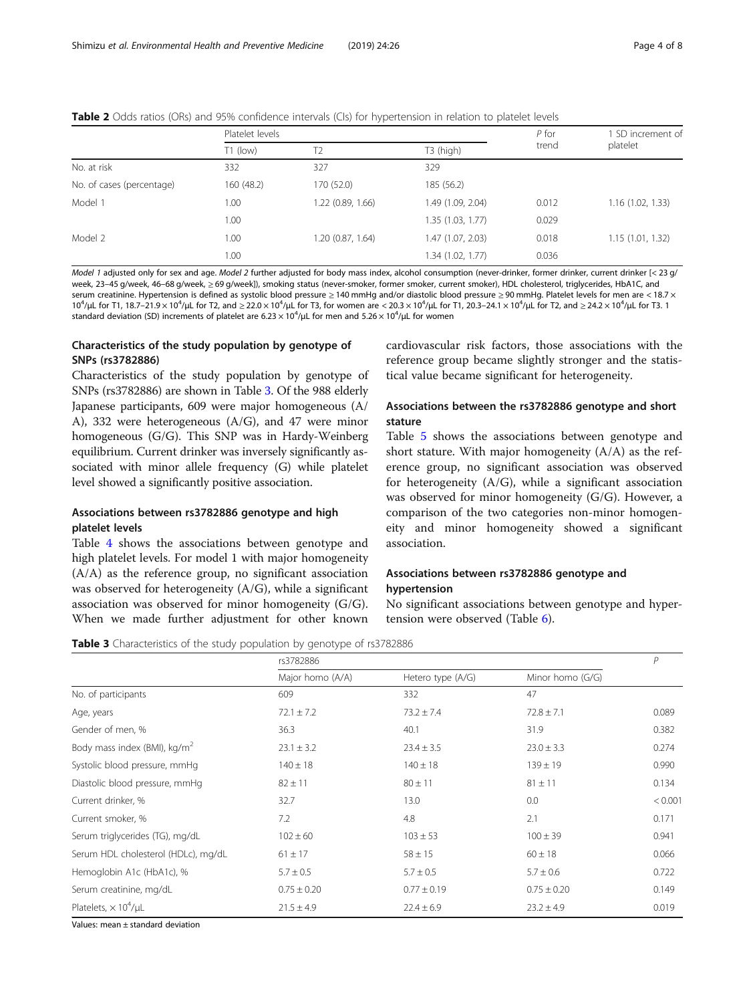<span id="page-3-0"></span>

|  |  | Table 2 Odds ratios (ORs) and 95% confidence intervals (CIs) for hypertension in relation to platelet levels |  |  |  |
|--|--|--------------------------------------------------------------------------------------------------------------|--|--|--|
|--|--|--------------------------------------------------------------------------------------------------------------|--|--|--|

|                           | Platelet levels<br>$T1$ (low)<br>T <sub>2</sub> |                   |                   | $P$ for | 1 SD increment of<br>platelet |
|---------------------------|-------------------------------------------------|-------------------|-------------------|---------|-------------------------------|
|                           |                                                 |                   | T3 (high)         | trend   |                               |
| No. at risk               | 332                                             | 327               | 329               |         |                               |
| No. of cases (percentage) | 160 (48.2)                                      | 170 (52.0)        | 185 (56.2)        |         |                               |
| Model 1                   | 1.00                                            | 1.22 (0.89, 1.66) | 1.49 (1.09, 2.04) | 0.012   | 1.16(1.02, 1.33)              |
|                           | 1.00                                            |                   | 1.35 (1.03, 1.77) | 0.029   |                               |
| Model 2                   | 1.00                                            | 1.20 (0.87, 1.64) | 1.47 (1.07, 2.03) | 0.018   | 1.15(1.01, 1.32)              |
|                           | 1.00                                            |                   | 1.34 (1.02, 1.77) | 0.036   |                               |

Model 1 adjusted only for sex and age. Model 2 further adjusted for body mass index, alcohol consumption (never-drinker, former drinker, current drinker [< 23 q/ week, 23–45 g/week, 46–68 g/week, ≥ 69 g/week]), smoking status (never-smoker, former smoker, current smoker), HDL cholesterol, triglycerides, HbA1C, and serum creatinine. Hypertension is defined as systolic blood pressure ≥ 140 mmHg and/or diastolic blood pressure ≥ 90 mmHg. Platelet levels for men are < 18.7 ×  $10^4$ /μL for T1, 18.7−21.9 × 10<sup>4</sup>/μL for T2, and ≥22.0 × 10<sup>4</sup>/μL for T3, for women are < 20.3 × 10<sup>4</sup>/μL for T1, 20.3−24.1 × 10<sup>4</sup>/μL for T2, and ≥24.2 × 10<sup>4</sup>/μL for T3. 1 standard deviation (SD) increments of platelet are 6.23  $\times$  10<sup>4</sup>/µL for men and 5.26  $\times$  10<sup>4</sup>/µL for women

# Characteristics of the study population by genotype of SNPs (rs3782886)

Characteristics of the study population by genotype of SNPs (rs3782886) are shown in Table 3. Of the 988 elderly Japanese participants, 609 were major homogeneous (A/ A), 332 were heterogeneous (A/G), and 47 were minor homogeneous (G/G). This SNP was in Hardy-Weinberg equilibrium. Current drinker was inversely significantly associated with minor allele frequency (G) while platelet level showed a significantly positive association.

# Associations between rs3782886 genotype and high platelet levels

Table [4](#page-4-0) shows the associations between genotype and high platelet levels. For model 1 with major homogeneity (A/A) as the reference group, no significant association was observed for heterogeneity (A/G), while a significant association was observed for minor homogeneity (G/G). When we made further adjustment for other known

cardiovascular risk factors, those associations with the reference group became slightly stronger and the statistical value became significant for heterogeneity.

# Associations between the rs3782886 genotype and short stature

Table [5](#page-4-0) shows the associations between genotype and short stature. With major homogeneity (A/A) as the reference group, no significant association was observed for heterogeneity  $(A/G)$ , while a significant association was observed for minor homogeneity (G/G). However, a comparison of the two categories non-minor homogeneity and minor homogeneity showed a significant association.

# Associations between rs3782886 genotype and hypertension

No significant associations between genotype and hypertension were observed (Table [6](#page-5-0)).

Table 3 Characteristics of the study population by genotype of rs3782886

|                                          | rs3782886        |                   |                  | $\overline{P}$ |
|------------------------------------------|------------------|-------------------|------------------|----------------|
|                                          | Major homo (A/A) | Hetero type (A/G) | Minor homo (G/G) |                |
| No. of participants                      | 609              | 332               | 47               |                |
| Age, years                               | $72.1 \pm 7.2$   | $73.2 \pm 7.4$    | $72.8 \pm 7.1$   | 0.089          |
| Gender of men, %                         | 36.3             | 40.1              | 31.9             | 0.382          |
| Body mass index (BMI), kg/m <sup>2</sup> | $23.1 \pm 3.2$   | $23.4 \pm 3.5$    | $23.0 \pm 3.3$   | 0.274          |
| Systolic blood pressure, mmHq            | $140 \pm 18$     | $140 \pm 18$      | $139 \pm 19$     | 0.990          |
| Diastolic blood pressure, mmHg           | $82 \pm 11$      | $80 \pm 11$       | $81 \pm 11$      | 0.134          |
| Current drinker, %                       | 32.7             | 13.0              | 0.0              | < 0.001        |
| Current smoker, %                        | 7.2              | 4.8               | 2.1              | 0.171          |
| Serum triglycerides (TG), mg/dL          | $102 \pm 60$     | $103 \pm 53$      | $100 \pm 39$     | 0.941          |
| Serum HDL cholesterol (HDLc), mg/dL      | $61 \pm 17$      | $58 \pm 15$       | $60 \pm 18$      | 0.066          |
| Hemoglobin A1c (HbA1c), %                | $5.7 \pm 0.5$    | $5.7 \pm 0.5$     | $5.7 \pm 0.6$    | 0.722          |
| Serum creatinine, mg/dL                  | $0.75 \pm 0.20$  | $0.77 \pm 0.19$   | $0.75 \pm 0.20$  | 0.149          |
| Platelets, $\times 10^4$ / $\mu$ L       | $21.5 \pm 4.9$   | $22.4 \pm 6.9$    | $23.2 \pm 4.9$   | 0.019          |

Values: mean ± standard deviation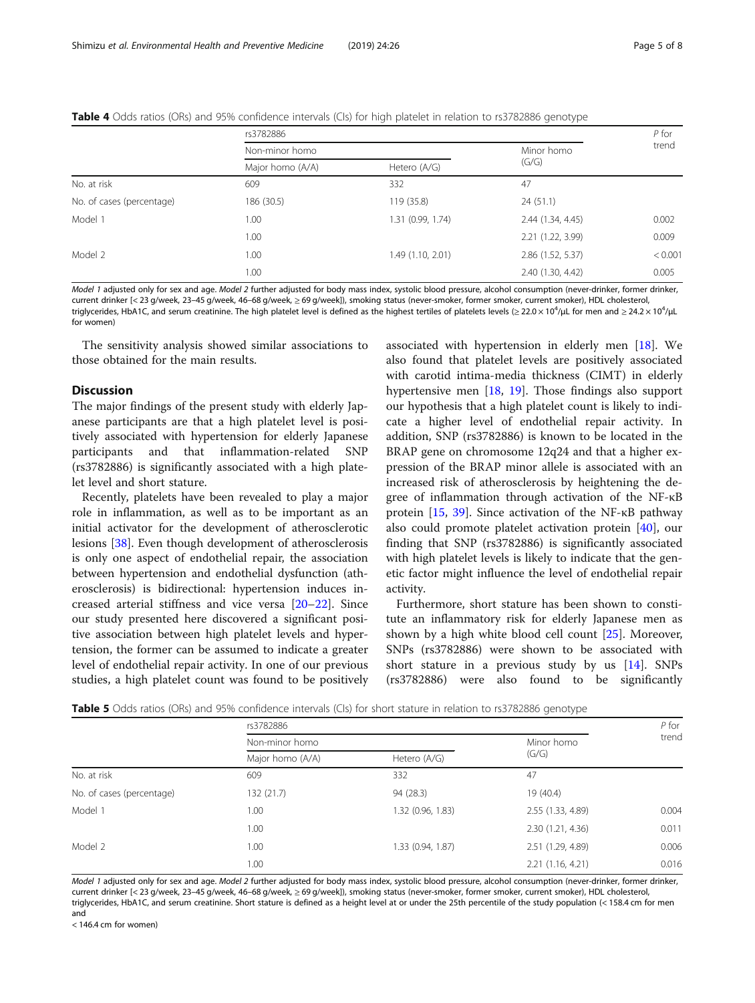<span id="page-4-0"></span>

|  |  |  |  |  |  |  | Table 4 Odds ratios (ORs) and 95% confidence intervals (Cls) for high platelet in relation to rs3782886 genotype |
|--|--|--|--|--|--|--|------------------------------------------------------------------------------------------------------------------|
|--|--|--|--|--|--|--|------------------------------------------------------------------------------------------------------------------|

|                           | rs3782886        |                   |                   | $P$ for |
|---------------------------|------------------|-------------------|-------------------|---------|
|                           | Non-minor homo   |                   | Minor homo        | trend   |
|                           | Major homo (A/A) | Hetero (A/G)      | (G/G)             |         |
| No. at risk               | 609              | 332               | 47                |         |
| No. of cases (percentage) | 186 (30.5)       | 119 (35.8)        | 24(51.1)          |         |
| Model 1                   | 1.00             | 1.31 (0.99, 1.74) | 2.44 (1.34, 4.45) | 0.002   |
|                           | 1.00             |                   | 2.21 (1.22, 3.99) | 0.009   |
| Model 2                   | 1.00             | 1.49 (1.10, 2.01) | 2.86 (1.52, 5.37) | < 0.001 |
|                           | 1.00             |                   | 2.40 (1.30, 4.42) | 0.005   |

Model 1 adjusted only for sex and age. Model 2 further adjusted for body mass index, systolic blood pressure, alcohol consumption (never-drinker, former drinker, current drinker [< 23 g/week, 23–45 g/week, 46–68 g/week, ≥ 69 g/week]), smoking status (never-smoker, former smoker, current smoker), HDL cholesterol, triglycerides, HbA1C, and serum creatinine. The high platelet level is defined as the highest tertiles of platelets levels (≥ 22.0 ×  $10^4$ /µL for men and ≥ 24.2 × 10 $^4$ /µL for women)

The sensitivity analysis showed similar associations to those obtained for the main results.

# Discussion

The major findings of the present study with elderly Japanese participants are that a high platelet level is positively associated with hypertension for elderly Japanese participants and that inflammation-related SNP (rs3782886) is significantly associated with a high platelet level and short stature.

Recently, platelets have been revealed to play a major role in inflammation, as well as to be important as an initial activator for the development of atherosclerotic lesions [[38](#page-7-0)]. Even though development of atherosclerosis is only one aspect of endothelial repair, the association between hypertension and endothelial dysfunction (atherosclerosis) is bidirectional: hypertension induces increased arterial stiffness and vice versa [[20](#page-7-0)–[22\]](#page-7-0). Since our study presented here discovered a significant positive association between high platelet levels and hypertension, the former can be assumed to indicate a greater level of endothelial repair activity. In one of our previous studies, a high platelet count was found to be positively associated with hypertension in elderly men [[18\]](#page-7-0). We also found that platelet levels are positively associated with carotid intima-media thickness (CIMT) in elderly hypertensive men [[18](#page-7-0), [19\]](#page-7-0). Those findings also support our hypothesis that a high platelet count is likely to indicate a higher level of endothelial repair activity. In addition, SNP (rs3782886) is known to be located in the BRAP gene on chromosome 12q24 and that a higher expression of the BRAP minor allele is associated with an increased risk of atherosclerosis by heightening the degree of inflammation through activation of the NF-κB protein [\[15](#page-6-0), [39\]](#page-7-0). Since activation of the NF-κB pathway also could promote platelet activation protein [\[40\]](#page-7-0), our finding that SNP (rs3782886) is significantly associated with high platelet levels is likely to indicate that the genetic factor might influence the level of endothelial repair activity.

Furthermore, short stature has been shown to constitute an inflammatory risk for elderly Japanese men as shown by a high white blood cell count [\[25](#page-7-0)]. Moreover, SNPs (rs3782886) were shown to be associated with short stature in a previous study by us [\[14](#page-6-0)]. SNPs (rs3782886) were also found to be significantly

Table 5 Odds ratios (ORs) and 95% confidence intervals (CIs) for short stature in relation to rs3782886 genotype

| rs3782886        |                   |                   | $P$ for |
|------------------|-------------------|-------------------|---------|
| Non-minor homo   |                   | Minor homo        | trend   |
| Major homo (A/A) | Hetero (A/G)      |                   |         |
| 609              | 332               | 47                |         |
| 132 (21.7)       | 94 (28.3)         | 19 (40.4)         |         |
| 1.00             | 1.32 (0.96, 1.83) | 2.55 (1.33, 4.89) | 0.004   |
| 1.00             |                   | 2.30 (1.21, 4.36) | 0.011   |
| 1.00             | 1.33 (0.94, 1.87) | 2.51 (1.29, 4.89) | 0.006   |
| 1.00             |                   | 2.21(1.16, 4.21)  | 0.016   |
|                  |                   |                   | (G/G)   |

Model 1 adjusted only for sex and age. Model 2 further adjusted for body mass index, systolic blood pressure, alcohol consumption (never-drinker, former drinker, current drinker [< 23 g/week, 23–45 g/week, 46–68 g/week, ≥ 69 g/week]), smoking status (never-smoker, former smoker, current smoker), HDL cholesterol, triglycerides, HbA1C, and serum creatinine. Short stature is defined as a height level at or under the 25th percentile of the study population (< 158.4 cm for men and

< 146.4 cm for women)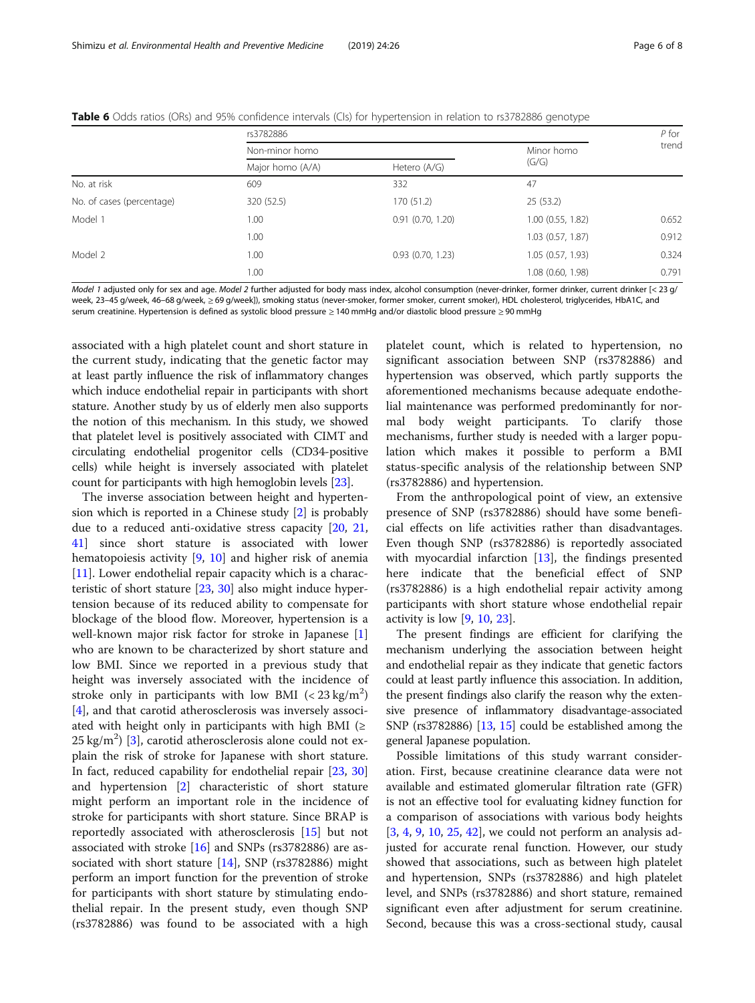<span id="page-5-0"></span>

|  |  | Table 6 Odds ratios (ORs) and 95% confidence intervals (Cls) for hypertension in relation to rs3782886 genotype |
|--|--|-----------------------------------------------------------------------------------------------------------------|
|  |  |                                                                                                                 |

|                           | rs3782886        |                  |                   | $P$ for |
|---------------------------|------------------|------------------|-------------------|---------|
|                           | Non-minor homo   |                  |                   | trend   |
|                           | Major homo (A/A) | Hetero (A/G)     | (G/G)             |         |
| No. at risk               | 609              | 332              | 47                |         |
| No. of cases (percentage) | 320 (52.5)       | 170 (51.2)       | 25(53.2)          |         |
| Model 1                   | 1.00             | 0.91(0.70, 1.20) | 1.00 (0.55, 1.82) | 0.652   |
|                           | 1.00             |                  | 1.03 (0.57, 1.87) | 0.912   |
| Model 2                   | 1.00             | 0.93(0.70, 1.23) | 1.05 (0.57, 1.93) | 0.324   |
|                           | 1.00             |                  | 1.08 (0.60, 1.98) | 0.791   |

Model 1 adjusted only for sex and age. Model 2 further adjusted for body mass index, alcohol consumption (never-drinker, former drinker, current drinker [< 23 g/ week, 23–45 g/week, 46–68 g/week, ≥ 69 g/week]), smoking status (never-smoker, former smoker, current smoker), HDL cholesterol, triglycerides, HbA1C, and serum creatinine. Hypertension is defined as systolic blood pressure ≥ 140 mmHg and/or diastolic blood pressure ≥ 90 mmHg

associated with a high platelet count and short stature in the current study, indicating that the genetic factor may at least partly influence the risk of inflammatory changes which induce endothelial repair in participants with short stature. Another study by us of elderly men also supports the notion of this mechanism. In this study, we showed that platelet level is positively associated with CIMT and circulating endothelial progenitor cells (CD34-positive cells) while height is inversely associated with platelet count for participants with high hemoglobin levels [\[23\]](#page-7-0).

The inverse association between height and hypertension which is reported in a Chinese study [\[2](#page-6-0)] is probably due to a reduced anti-oxidative stress capacity [\[20](#page-7-0), [21](#page-7-0), [41\]](#page-7-0) since short stature is associated with lower hematopoiesis activity [[9](#page-6-0), [10](#page-6-0)] and higher risk of anemia [[11\]](#page-6-0). Lower endothelial repair capacity which is a characteristic of short stature [[23,](#page-7-0) [30\]](#page-7-0) also might induce hypertension because of its reduced ability to compensate for blockage of the blood flow. Moreover, hypertension is a well-known major risk factor for stroke in Japanese [\[1](#page-6-0)] who are known to be characterized by short stature and low BMI. Since we reported in a previous study that height was inversely associated with the incidence of stroke only in participants with low BMI  $\left( < 23 \text{ kg/m}^2 \right)$ [[4\]](#page-6-0), and that carotid atherosclerosis was inversely associated with height only in participants with high BMI ( $\ge$  $25 \text{ kg/m}^2$ ) [[3\]](#page-6-0), carotid atherosclerosis alone could not explain the risk of stroke for Japanese with short stature. In fact, reduced capability for endothelial repair [\[23,](#page-7-0) [30](#page-7-0)] and hypertension [\[2](#page-6-0)] characteristic of short stature might perform an important role in the incidence of stroke for participants with short stature. Since BRAP is reportedly associated with atherosclerosis [\[15](#page-6-0)] but not associated with stroke  $[16]$  and SNPs (rs3782886) are associated with short stature [\[14](#page-6-0)], SNP (rs3782886) might perform an import function for the prevention of stroke for participants with short stature by stimulating endothelial repair. In the present study, even though SNP (rs3782886) was found to be associated with a high

platelet count, which is related to hypertension, no significant association between SNP (rs3782886) and hypertension was observed, which partly supports the aforementioned mechanisms because adequate endothelial maintenance was performed predominantly for normal body weight participants. To clarify those mechanisms, further study is needed with a larger population which makes it possible to perform a BMI status-specific analysis of the relationship between SNP (rs3782886) and hypertension.

From the anthropological point of view, an extensive presence of SNP (rs3782886) should have some beneficial effects on life activities rather than disadvantages. Even though SNP (rs3782886) is reportedly associated with myocardial infarction  $[13]$  $[13]$ , the findings presented here indicate that the beneficial effect of SNP (rs3782886) is a high endothelial repair activity among participants with short stature whose endothelial repair activity is low  $[9, 10, 23]$  $[9, 10, 23]$  $[9, 10, 23]$  $[9, 10, 23]$  $[9, 10, 23]$  $[9, 10, 23]$  $[9, 10, 23]$ .

The present findings are efficient for clarifying the mechanism underlying the association between height and endothelial repair as they indicate that genetic factors could at least partly influence this association. In addition, the present findings also clarify the reason why the extensive presence of inflammatory disadvantage-associated SNP (rs3782886) [\[13,](#page-6-0) [15\]](#page-6-0) could be established among the general Japanese population.

Possible limitations of this study warrant consideration. First, because creatinine clearance data were not available and estimated glomerular filtration rate (GFR) is not an effective tool for evaluating kidney function for a comparison of associations with various body heights [[3,](#page-6-0) [4,](#page-6-0) [9,](#page-6-0) [10,](#page-6-0) [25,](#page-7-0) [42\]](#page-7-0), we could not perform an analysis adjusted for accurate renal function. However, our study showed that associations, such as between high platelet and hypertension, SNPs (rs3782886) and high platelet level, and SNPs (rs3782886) and short stature, remained significant even after adjustment for serum creatinine. Second, because this was a cross-sectional study, causal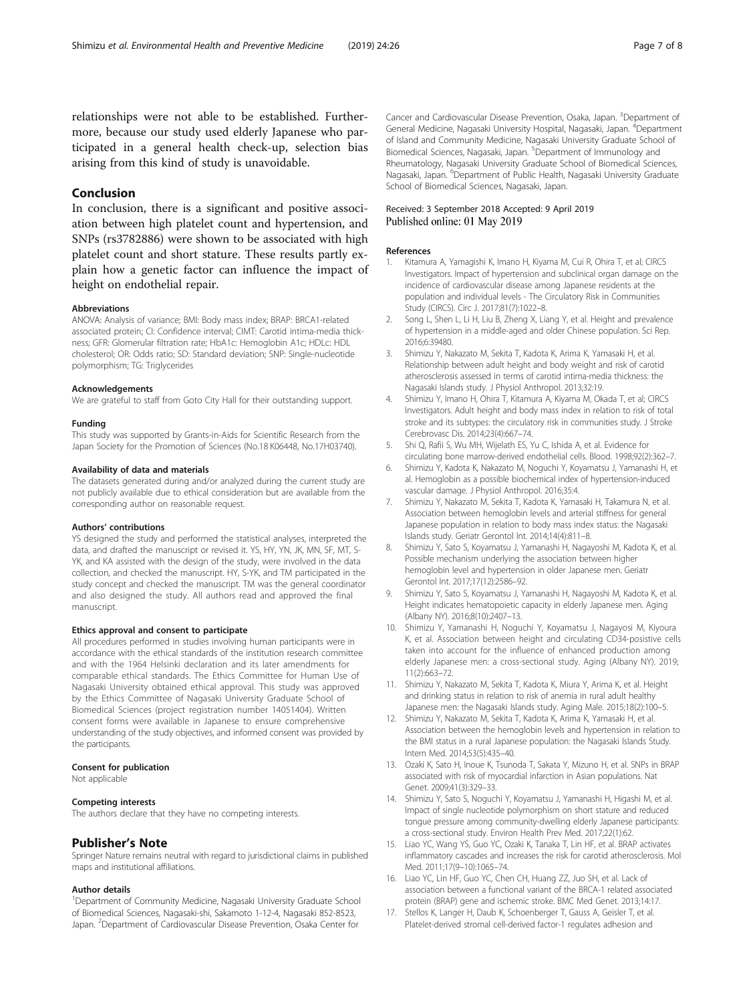<span id="page-6-0"></span>relationships were not able to be established. Furthermore, because our study used elderly Japanese who participated in a general health check-up, selection bias arising from this kind of study is unavoidable.

# Conclusion

In conclusion, there is a significant and positive association between high platelet count and hypertension, and SNPs (rs3782886) were shown to be associated with high platelet count and short stature. These results partly explain how a genetic factor can influence the impact of height on endothelial repair.

#### Abbreviations

ANOVA: Analysis of variance; BMI: Body mass index; BRAP: BRCA1-related associated protein; CI: Confidence interval; CIMT: Carotid intima-media thickness; GFR: Glomerular filtration rate; HbA1c: Hemoglobin A1c; HDLc: HDL cholesterol; OR: Odds ratio; SD: Standard deviation; SNP: Single-nucleotide polymorphism; TG: Triglycerides

#### Acknowledgements

We are grateful to staff from Goto City Hall for their outstanding support.

#### Funding

This study was supported by Grants-in-Aids for Scientific Research from the Japan Society for the Promotion of Sciences (No.18 K06448, No.17H03740).

#### Availability of data and materials

The datasets generated during and/or analyzed during the current study are not publicly available due to ethical consideration but are available from the corresponding author on reasonable request.

#### Authors' contributions

YS designed the study and performed the statistical analyses, interpreted the data, and drafted the manuscript or revised it. YS, HY, YN, JK, MN, SF, MT, S-YK, and KA assisted with the design of the study, were involved in the data collection, and checked the manuscript. HY, S-YK, and TM participated in the study concept and checked the manuscript. TM was the general coordinator and also designed the study. All authors read and approved the final manuscript.

#### Ethics approval and consent to participate

All procedures performed in studies involving human participants were in accordance with the ethical standards of the institution research committee and with the 1964 Helsinki declaration and its later amendments for comparable ethical standards. The Ethics Committee for Human Use of Nagasaki University obtained ethical approval. This study was approved by the Ethics Committee of Nagasaki University Graduate School of Biomedical Sciences (project registration number 14051404). Written consent forms were available in Japanese to ensure comprehensive understanding of the study objectives, and informed consent was provided by the participants.

#### Consent for publication

Not applicable

#### Competing interests

The authors declare that they have no competing interests.

# Publisher's Note

Springer Nature remains neutral with regard to jurisdictional claims in published maps and institutional affiliations.

#### Author details

<sup>1</sup>Department of Community Medicine, Nagasaki University Graduate School of Biomedical Sciences, Nagasaki-shi, Sakamoto 1-12-4, Nagasaki 852-8523, Japan. <sup>2</sup> Department of Cardiovascular Disease Prevention, Osaka Center for

Cancer and Cardiovascular Disease Prevention, Osaka, Japan. <sup>3</sup>Department of General Medicine, Nagasaki University Hospital, Nagasaki, Japan. <sup>4</sup>Department of Island and Community Medicine, Nagasaki University Graduate School of Biomedical Sciences, Nagasaki, Japan. <sup>5</sup>Department of Immunology and Rheumatology, Nagasaki University Graduate School of Biomedical Sciences, Nagasaki, Japan. <sup>6</sup>Department of Public Health, Nagasaki University Graduate School of Biomedical Sciences, Nagasaki, Japan.

#### Received: 3 September 2018 Accepted: 9 April 2019 Published online: 01 May 2019

#### References

- 1. Kitamura A, Yamagishi K, Imano H, Kiyama M, Cui R, Ohira T, et al; CIRCS Investigators. Impact of hypertension and subclinical organ damage on the incidence of cardiovascular disease among Japanese residents at the population and individual levels - The Circulatory Risk in Communities Study (CIRCS). Circ J. 2017;81(7):1022–8.
- 2. Song L, Shen L, Li H, Liu B, Zheng X, Liang Y, et al. Height and prevalence of hypertension in a middle-aged and older Chinese population. Sci Rep. 2016;6:39480.
- 3. Shimizu Y, Nakazato M, Sekita T, Kadota K, Arima K, Yamasaki H, et al. Relationship between adult height and body weight and risk of carotid atherosclerosis assessed in terms of carotid intima-media thickness: the Nagasaki Islands study. J Physiol Anthropol. 2013;32:19.
- 4. Shimizu Y, Imano H, Ohira T, Kitamura A, Kiyama M, Okada T, et al; CIRCS Investigators. Adult height and body mass index in relation to risk of total stroke and its subtypes: the circulatory risk in communities study. J Stroke Cerebrovasc Dis. 2014;23(4):667–74.
- 5. Shi Q, Rafii S, Wu MH, Wijelath ES, Yu C, Ishida A, et al. Evidence for circulating bone marrow-derived endothelial cells. Blood. 1998;92(2):362–7.
- 6. Shimizu Y, Kadota K, Nakazato M, Noguchi Y, Koyamatsu J, Yamanashi H, et al. Hemoglobin as a possible biochemical index of hypertension-induced vascular damage. J Physiol Anthropol. 2016;35:4.
- 7. Shimizu Y, Nakazato M, Sekita T, Kadota K, Yamasaki H, Takamura N, et al. Association between hemoglobin levels and arterial stiffness for general Japanese population in relation to body mass index status: the Nagasaki Islands study. Geriatr Gerontol Int. 2014;14(4):811–8.
- 8. Shimizu Y, Sato S, Koyamatsu J, Yamanashi H, Nagayoshi M, Kadota K, et al. Possible mechanism underlying the association between higher hemoglobin level and hypertension in older Japanese men. Geriatr Gerontol Int. 2017;17(12):2586–92.
- 9. Shimizu Y, Sato S, Koyamatsu J, Yamanashi H, Nagayoshi M, Kadota K, et al. Height indicates hematopoietic capacity in elderly Japanese men. Aging (Albany NY). 2016;8(10):2407–13.
- 10. Shimizu Y, Yamanashi H, Noguchi Y, Koyamatsu J, Nagayosi M, Kiyoura K, et al. Association between height and circulating CD34-posistive cells taken into account for the influence of enhanced production among elderly Japanese men: a cross-sectional study. Aging (Albany NY). 2019; 11(2):663–72.
- 11. Shimizu Y, Nakazato M, Sekita T, Kadota K, Miura Y, Arima K, et al. Height and drinking status in relation to risk of anemia in rural adult healthy Japanese men: the Nagasaki Islands study. Aging Male. 2015;18(2):100–5.
- 12. Shimizu Y, Nakazato M, Sekita T, Kadota K, Arima K, Yamasaki H, et al. Association between the hemoglobin levels and hypertension in relation to the BMI status in a rural Japanese population: the Nagasaki Islands Study. Intern Med. 2014;53(5):435–40.
- 13. Ozaki K, Sato H, Inoue K, Tsunoda T, Sakata Y, Mizuno H, et al. SNPs in BRAP associated with risk of myocardial infarction in Asian populations. Nat Genet. 2009;41(3):329–33.
- 14. Shimizu Y, Sato S, Noguchi Y, Koyamatsu J, Yamanashi H, Higashi M, et al. Impact of single nucleotide polymorphism on short stature and reduced tongue pressure among community-dwelling elderly Japanese participants: a cross-sectional study. Environ Health Prev Med. 2017;22(1):62.
- 15. Liao YC, Wang YS, Guo YC, Ozaki K, Tanaka T, Lin HF, et al. BRAP activates inflammatory cascades and increases the risk for carotid atherosclerosis. Mol Med. 2011;17(9–10):1065–74.
- 16. Liao YC, Lin HF, Guo YC, Chen CH, Huang ZZ, Juo SH, et al. Lack of association between a functional variant of the BRCA-1 related associated protein (BRAP) gene and ischemic stroke. BMC Med Genet. 2013;14:17.
- 17. Stellos K, Langer H, Daub K, Schoenberger T, Gauss A, Geisler T, et al. Platelet-derived stromal cell-derived factor-1 regulates adhesion and